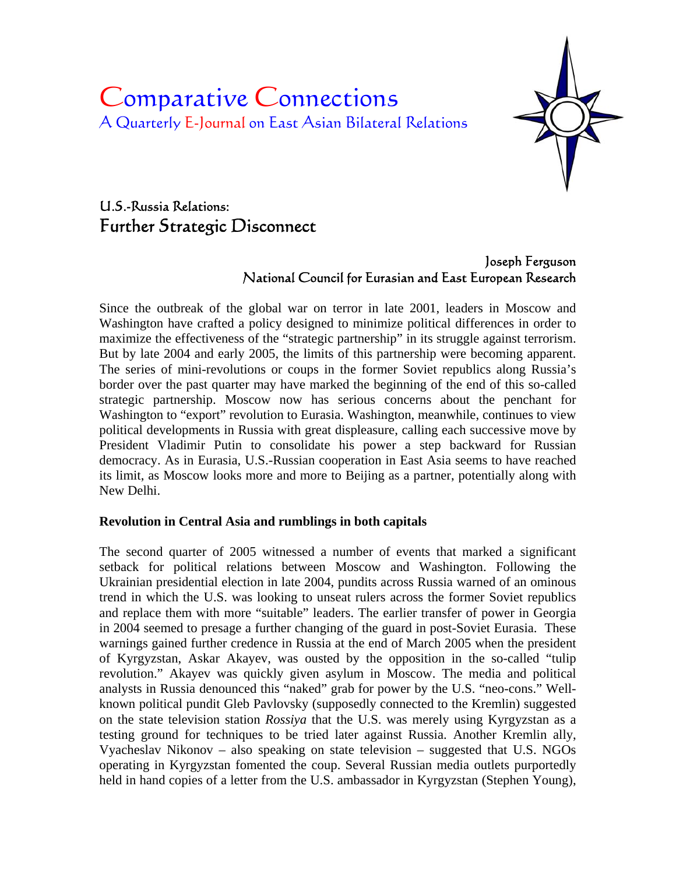# Comparative Connections A Quarterly E-Journal on East Asian Bilateral Relations



# U.S.-Russia Relations: Further Strategic Disconnect

## Joseph Ferguson National Council for Eurasian and East European Research

Since the outbreak of the global war on terror in late 2001, leaders in Moscow and Washington have crafted a policy designed to minimize political differences in order to maximize the effectiveness of the "strategic partnership" in its struggle against terrorism. But by late 2004 and early 2005, the limits of this partnership were becoming apparent. The series of mini-revolutions or coups in the former Soviet republics along Russia's border over the past quarter may have marked the beginning of the end of this so-called strategic partnership. Moscow now has serious concerns about the penchant for Washington to "export" revolution to Eurasia. Washington, meanwhile, continues to view political developments in Russia with great displeasure, calling each successive move by President Vladimir Putin to consolidate his power a step backward for Russian democracy. As in Eurasia, U.S.-Russian cooperation in East Asia seems to have reached its limit, as Moscow looks more and more to Beijing as a partner, potentially along with New Delhi.

## **Revolution in Central Asia and rumblings in both capitals**

The second quarter of 2005 witnessed a number of events that marked a significant setback for political relations between Moscow and Washington. Following the Ukrainian presidential election in late 2004, pundits across Russia warned of an ominous trend in which the U.S. was looking to unseat rulers across the former Soviet republics and replace them with more "suitable" leaders. The earlier transfer of power in Georgia in 2004 seemed to presage a further changing of the guard in post-Soviet Eurasia. These warnings gained further credence in Russia at the end of March 2005 when the president of Kyrgyzstan, Askar Akayev, was ousted by the opposition in the so-called "tulip revolution." Akayev was quickly given asylum in Moscow. The media and political analysts in Russia denounced this "naked" grab for power by the U.S. "neo-cons." Wellknown political pundit Gleb Pavlovsky (supposedly connected to the Kremlin) suggested on the state television station *Rossiya* that the U.S. was merely using Kyrgyzstan as a testing ground for techniques to be tried later against Russia. Another Kremlin ally, Vyacheslav Nikonov – also speaking on state television – suggested that U.S. NGOs operating in Kyrgyzstan fomented the coup. Several Russian media outlets purportedly held in hand copies of a letter from the U.S. ambassador in Kyrgyzstan (Stephen Young),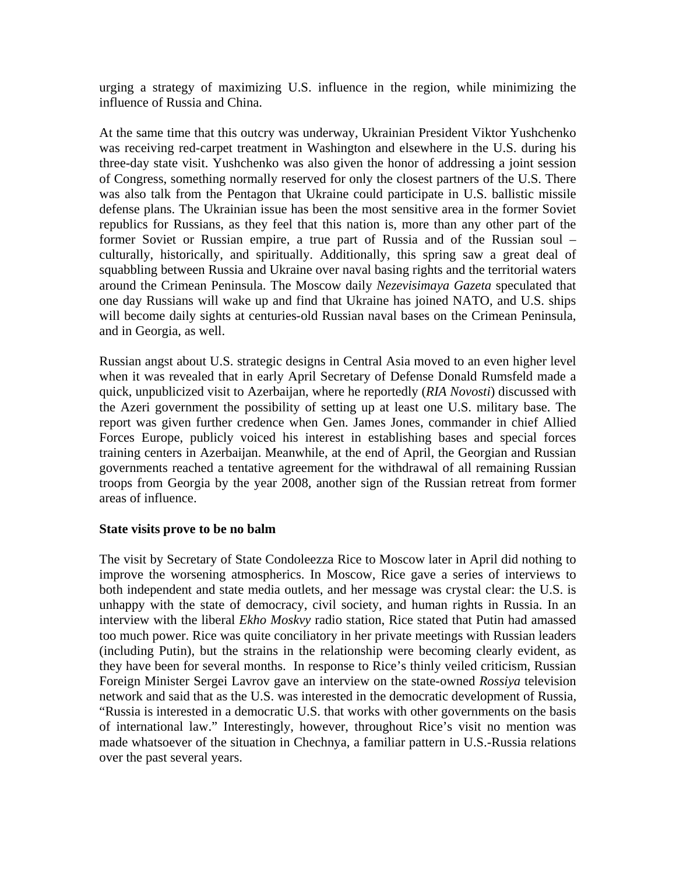urging a strategy of maximizing U.S. influence in the region, while minimizing the influence of Russia and China.

At the same time that this outcry was underway, Ukrainian President Viktor Yushchenko was receiving red-carpet treatment in Washington and elsewhere in the U.S. during his three-day state visit. Yushchenko was also given the honor of addressing a joint session of Congress, something normally reserved for only the closest partners of the U.S. There was also talk from the Pentagon that Ukraine could participate in U.S. ballistic missile defense plans. The Ukrainian issue has been the most sensitive area in the former Soviet republics for Russians, as they feel that this nation is, more than any other part of the former Soviet or Russian empire, a true part of Russia and of the Russian soul – culturally, historically, and spiritually. Additionally, this spring saw a great deal of squabbling between Russia and Ukraine over naval basing rights and the territorial waters around the Crimean Peninsula. The Moscow daily *Nezevisimaya Gazeta* speculated that one day Russians will wake up and find that Ukraine has joined NATO, and U.S. ships will become daily sights at centuries-old Russian naval bases on the Crimean Peninsula, and in Georgia, as well.

Russian angst about U.S. strategic designs in Central Asia moved to an even higher level when it was revealed that in early April Secretary of Defense Donald Rumsfeld made a quick, unpublicized visit to Azerbaijan, where he reportedly (*RIA Novosti*) discussed with the Azeri government the possibility of setting up at least one U.S. military base. The report was given further credence when Gen. James Jones, commander in chief Allied Forces Europe, publicly voiced his interest in establishing bases and special forces training centers in Azerbaijan. Meanwhile, at the end of April, the Georgian and Russian governments reached a tentative agreement for the withdrawal of all remaining Russian troops from Georgia by the year 2008, another sign of the Russian retreat from former areas of influence.

#### **State visits prove to be no balm**

The visit by Secretary of State Condoleezza Rice to Moscow later in April did nothing to improve the worsening atmospherics. In Moscow, Rice gave a series of interviews to both independent and state media outlets, and her message was crystal clear: the U.S. is unhappy with the state of democracy, civil society, and human rights in Russia. In an interview with the liberal *Ekho Moskvy* radio station, Rice stated that Putin had amassed too much power. Rice was quite conciliatory in her private meetings with Russian leaders (including Putin), but the strains in the relationship were becoming clearly evident, as they have been for several months. In response to Rice's thinly veiled criticism, Russian Foreign Minister Sergei Lavrov gave an interview on the state-owned *Rossiya* television network and said that as the U.S. was interested in the democratic development of Russia, "Russia is interested in a democratic U.S. that works with other governments on the basis of international law." Interestingly, however, throughout Rice's visit no mention was made whatsoever of the situation in Chechnya, a familiar pattern in U.S.-Russia relations over the past several years.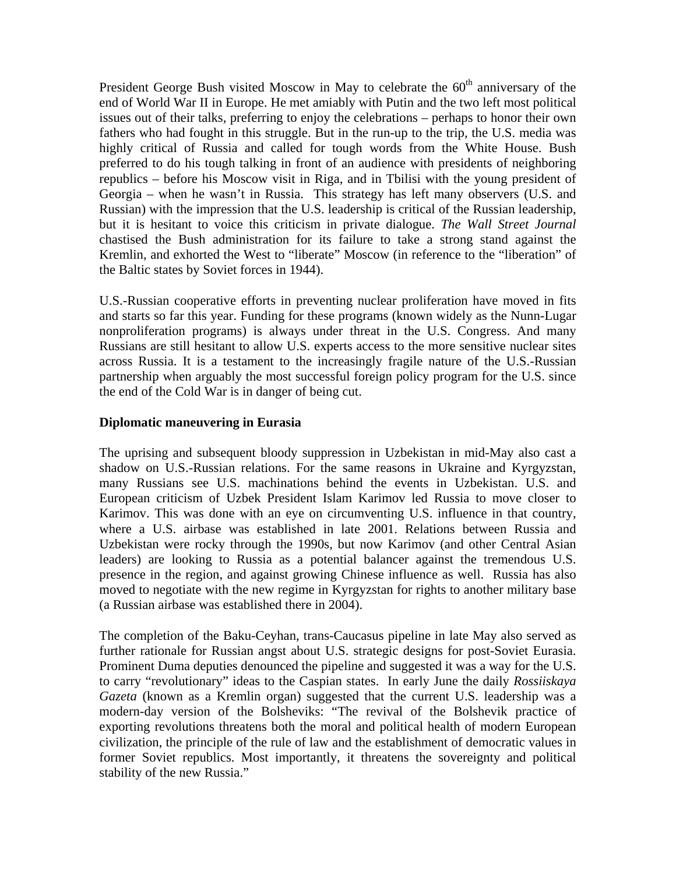President George Bush visited Moscow in May to celebrate the  $60<sup>th</sup>$  anniversary of the end of World War II in Europe. He met amiably with Putin and the two left most political issues out of their talks, preferring to enjoy the celebrations – perhaps to honor their own fathers who had fought in this struggle. But in the run-up to the trip, the U.S. media was highly critical of Russia and called for tough words from the White House. Bush preferred to do his tough talking in front of an audience with presidents of neighboring republics – before his Moscow visit in Riga, and in Tbilisi with the young president of Georgia – when he wasn't in Russia. This strategy has left many observers (U.S. and Russian) with the impression that the U.S. leadership is critical of the Russian leadership, but it is hesitant to voice this criticism in private dialogue. *The Wall Street Journal* chastised the Bush administration for its failure to take a strong stand against the Kremlin, and exhorted the West to "liberate" Moscow (in reference to the "liberation" of the Baltic states by Soviet forces in 1944).

U.S.-Russian cooperative efforts in preventing nuclear proliferation have moved in fits and starts so far this year. Funding for these programs (known widely as the Nunn-Lugar nonproliferation programs) is always under threat in the U.S. Congress. And many Russians are still hesitant to allow U.S. experts access to the more sensitive nuclear sites across Russia. It is a testament to the increasingly fragile nature of the U.S.-Russian partnership when arguably the most successful foreign policy program for the U.S. since the end of the Cold War is in danger of being cut.

#### **Diplomatic maneuvering in Eurasia**

The uprising and subsequent bloody suppression in Uzbekistan in mid-May also cast a shadow on U.S.-Russian relations. For the same reasons in Ukraine and Kyrgyzstan, many Russians see U.S. machinations behind the events in Uzbekistan. U.S. and European criticism of Uzbek President Islam Karimov led Russia to move closer to Karimov. This was done with an eye on circumventing U.S. influence in that country, where a U.S. airbase was established in late 2001. Relations between Russia and Uzbekistan were rocky through the 1990s, but now Karimov (and other Central Asian leaders) are looking to Russia as a potential balancer against the tremendous U.S. presence in the region, and against growing Chinese influence as well. Russia has also moved to negotiate with the new regime in Kyrgyzstan for rights to another military base (a Russian airbase was established there in 2004).

The completion of the Baku-Ceyhan, trans-Caucasus pipeline in late May also served as further rationale for Russian angst about U.S. strategic designs for post-Soviet Eurasia. Prominent Duma deputies denounced the pipeline and suggested it was a way for the U.S. to carry "revolutionary" ideas to the Caspian states. In early June the daily *Rossiiskaya Gazeta* (known as a Kremlin organ) suggested that the current U.S. leadership was a modern-day version of the Bolsheviks: "The revival of the Bolshevik practice of exporting revolutions threatens both the moral and political health of modern European civilization, the principle of the rule of law and the establishment of democratic values in former Soviet republics. Most importantly, it threatens the sovereignty and political stability of the new Russia."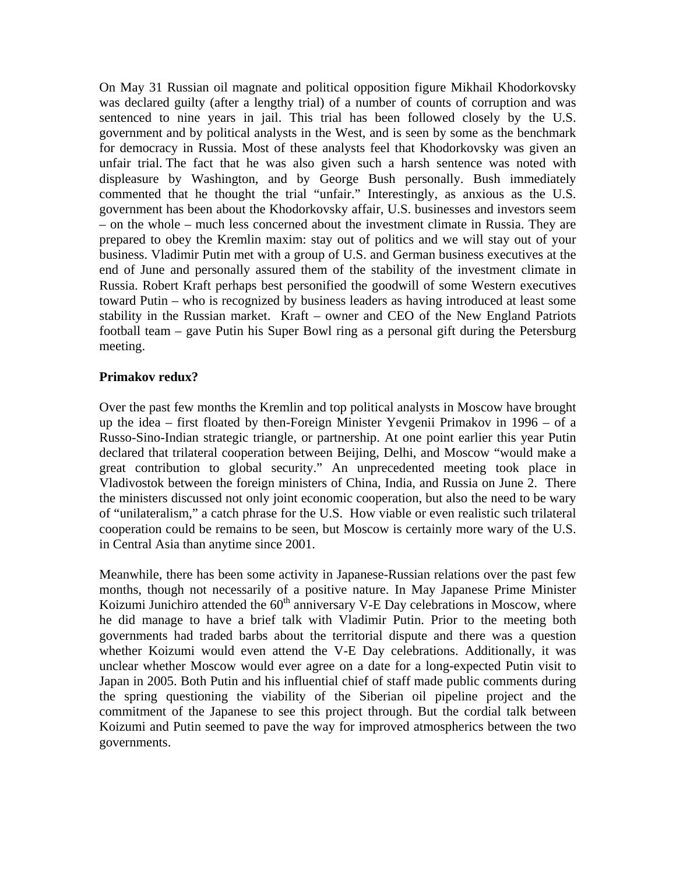On May 31 Russian oil magnate and political opposition figure Mikhail Khodorkovsky was declared guilty (after a lengthy trial) of a number of counts of corruption and was sentenced to nine years in jail. This trial has been followed closely by the U.S. government and by political analysts in the West, and is seen by some as the benchmark for democracy in Russia. Most of these analysts feel that Khodorkovsky was given an unfair trial. The fact that he was also given such a harsh sentence was noted with displeasure by Washington, and by George Bush personally. Bush immediately commented that he thought the trial "unfair." Interestingly, as anxious as the U.S. government has been about the Khodorkovsky affair, U.S. businesses and investors seem – on the whole – much less concerned about the investment climate in Russia. They are prepared to obey the Kremlin maxim: stay out of politics and we will stay out of your business. Vladimir Putin met with a group of U.S. and German business executives at the end of June and personally assured them of the stability of the investment climate in Russia. Robert Kraft perhaps best personified the goodwill of some Western executives toward Putin – who is recognized by business leaders as having introduced at least some stability in the Russian market. Kraft – owner and CEO of the New England Patriots football team – gave Putin his Super Bowl ring as a personal gift during the Petersburg meeting.

#### **Primakov redux?**

Over the past few months the Kremlin and top political analysts in Moscow have brought up the idea – first floated by then-Foreign Minister Yevgenii Primakov in 1996 – of a Russo-Sino-Indian strategic triangle, or partnership. At one point earlier this year Putin declared that trilateral cooperation between Beijing, Delhi, and Moscow "would make a great contribution to global security." An unprecedented meeting took place in Vladivostok between the foreign ministers of China, India, and Russia on June 2. There the ministers discussed not only joint economic cooperation, but also the need to be wary of "unilateralism," a catch phrase for the U.S. How viable or even realistic such trilateral cooperation could be remains to be seen, but Moscow is certainly more wary of the U.S. in Central Asia than anytime since 2001.

Meanwhile, there has been some activity in Japanese-Russian relations over the past few months, though not necessarily of a positive nature. In May Japanese Prime Minister Koizumi Junichiro attended the  $60<sup>th</sup>$  anniversary V-E Day celebrations in Moscow, where he did manage to have a brief talk with Vladimir Putin. Prior to the meeting both governments had traded barbs about the territorial dispute and there was a question whether Koizumi would even attend the V-E Day celebrations. Additionally, it was unclear whether Moscow would ever agree on a date for a long-expected Putin visit to Japan in 2005. Both Putin and his influential chief of staff made public comments during the spring questioning the viability of the Siberian oil pipeline project and the commitment of the Japanese to see this project through. But the cordial talk between Koizumi and Putin seemed to pave the way for improved atmospherics between the two governments.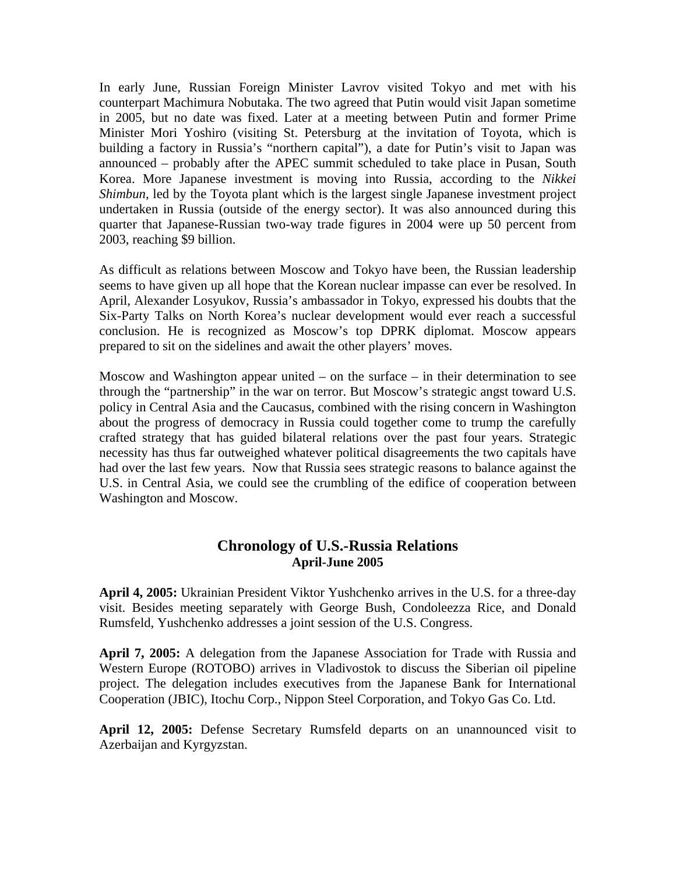In early June, Russian Foreign Minister Lavrov visited Tokyo and met with his counterpart Machimura Nobutaka. The two agreed that Putin would visit Japan sometime in 2005, but no date was fixed. Later at a meeting between Putin and former Prime Minister Mori Yoshiro (visiting St. Petersburg at the invitation of Toyota, which is building a factory in Russia's "northern capital"), a date for Putin's visit to Japan was announced – probably after the APEC summit scheduled to take place in Pusan, South Korea. More Japanese investment is moving into Russia, according to the *Nikkei Shimbun*, led by the Toyota plant which is the largest single Japanese investment project undertaken in Russia (outside of the energy sector). It was also announced during this quarter that Japanese-Russian two-way trade figures in 2004 were up 50 percent from 2003, reaching \$9 billion.

As difficult as relations between Moscow and Tokyo have been, the Russian leadership seems to have given up all hope that the Korean nuclear impasse can ever be resolved. In April, Alexander Losyukov, Russia's ambassador in Tokyo, expressed his doubts that the Six-Party Talks on North Korea's nuclear development would ever reach a successful conclusion. He is recognized as Moscow's top DPRK diplomat. Moscow appears prepared to sit on the sidelines and await the other players' moves.

Moscow and Washington appear united – on the surface – in their determination to see through the "partnership" in the war on terror. But Moscow's strategic angst toward U.S. policy in Central Asia and the Caucasus, combined with the rising concern in Washington about the progress of democracy in Russia could together come to trump the carefully crafted strategy that has guided bilateral relations over the past four years. Strategic necessity has thus far outweighed whatever political disagreements the two capitals have had over the last few years. Now that Russia sees strategic reasons to balance against the U.S. in Central Asia, we could see the crumbling of the edifice of cooperation between Washington and Moscow.

# **Chronology of U.S.-Russia Relations April-June 2005**

**April 4, 2005:** Ukrainian President Viktor Yushchenko arrives in the U.S. for a three-day visit. Besides meeting separately with George Bush, Condoleezza Rice, and Donald Rumsfeld, Yushchenko addresses a joint session of the U.S. Congress.

**April 7, 2005:** A delegation from the Japanese Association for Trade with Russia and Western Europe (ROTOBO) arrives in Vladivostok to discuss the Siberian oil pipeline project. The delegation includes executives from the Japanese Bank for International Cooperation (JBIC), Itochu Corp., Nippon Steel Corporation, and Tokyo Gas Co. Ltd.

**April 12, 2005:** Defense Secretary Rumsfeld departs on an unannounced visit to Azerbaijan and Kyrgyzstan.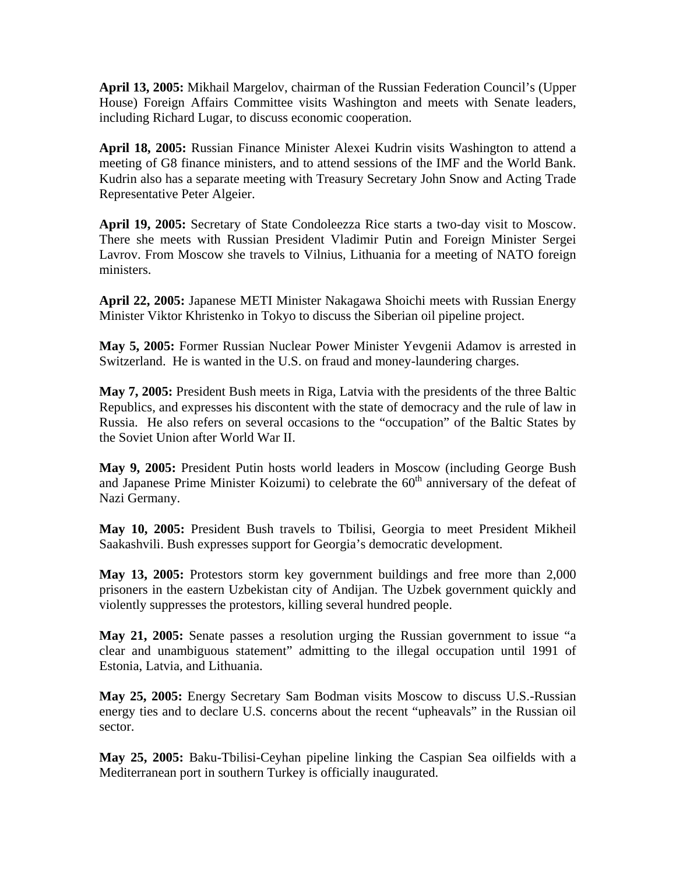**April 13, 2005:** Mikhail Margelov, chairman of the Russian Federation Council's (Upper House) Foreign Affairs Committee visits Washington and meets with Senate leaders, including Richard Lugar, to discuss economic cooperation.

**April 18, 2005:** Russian Finance Minister Alexei Kudrin visits Washington to attend a meeting of G8 finance ministers, and to attend sessions of the IMF and the World Bank. Kudrin also has a separate meeting with Treasury Secretary John Snow and Acting Trade Representative Peter Algeier.

**April 19, 2005:** Secretary of State Condoleezza Rice starts a two-day visit to Moscow. There she meets with Russian President Vladimir Putin and Foreign Minister Sergei Lavrov. From Moscow she travels to Vilnius, Lithuania for a meeting of NATO foreign ministers.

**April 22, 2005:** Japanese METI Minister Nakagawa Shoichi meets with Russian Energy Minister Viktor Khristenko in Tokyo to discuss the Siberian oil pipeline project.

**May 5, 2005:** Former Russian Nuclear Power Minister Yevgenii Adamov is arrested in Switzerland. He is wanted in the U.S. on fraud and money-laundering charges.

**May 7, 2005:** President Bush meets in Riga, Latvia with the presidents of the three Baltic Republics, and expresses his discontent with the state of democracy and the rule of law in Russia. He also refers on several occasions to the "occupation" of the Baltic States by the Soviet Union after World War II.

**May 9, 2005:** President Putin hosts world leaders in Moscow (including George Bush and Japanese Prime Minister Koizumi) to celebrate the  $60<sup>th</sup>$  anniversary of the defeat of Nazi Germany.

**May 10, 2005:** President Bush travels to Tbilisi, Georgia to meet President Mikheil Saakashvili. Bush expresses support for Georgia's democratic development.

**May 13, 2005:** Protestors storm key government buildings and free more than 2,000 prisoners in the eastern Uzbekistan city of Andijan. The Uzbek government quickly and violently suppresses the protestors, killing several hundred people.

**May 21, 2005:** Senate passes a resolution urging the Russian government to issue "a clear and unambiguous statement" admitting to the illegal occupation until 1991 of Estonia, Latvia, and Lithuania.

**May 25, 2005:** Energy Secretary Sam Bodman visits Moscow to discuss U.S.-Russian energy ties and to declare U.S. concerns about the recent "upheavals" in the Russian oil sector.

**May 25, 2005:** Baku-Tbilisi-Ceyhan pipeline linking the Caspian Sea oilfields with a Mediterranean port in southern Turkey is officially inaugurated.